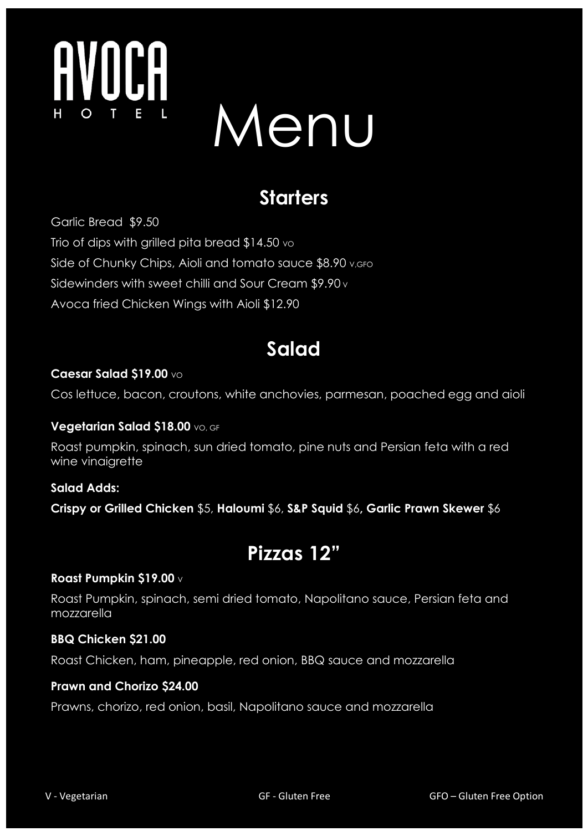

# Menu

# **Starters**

Garlic Bread \$9.50 Trio of dips with grilled pita bread  $$14.50$  vo Side of Chunky Chips, Aioli and tomato sauce \$8.90 v, GFO Sidewinders with sweet chilli and Sour Cream \$9.90 v Avoca fried Chicken Wings with Aioli \$12.90

# **Salad**

#### **Caesar Salad \$19.00** VO

Cos lettuce, bacon, croutons, white anchovies, parmesan, poached egg and aioli

#### **Vegetarian Salad \$18.00** VO, GF

Roast pumpkin, spinach, sun dried tomato, pine nuts and Persian feta with a red wine vinaigrette

#### **Salad Adds:**

**Crispy or Grilled Chicken** \$5, **Haloumi** \$6, **S&P Squid** \$6**, Garlic Prawn Skewer** \$6

### **Pizzas 12"**

#### **Roast Pumpkin \$19.00** v

Roast Pumpkin, spinach, semi dried tomato, Napolitano sauce, Persian feta and mozzarella

#### **BBQ Chicken \$21.00**

Roast Chicken, ham, pineapple, red onion, BBQ sauce and mozzarella

#### **Prawn and Chorizo \$24.00**

Prawns, chorizo, red onion, basil, Napolitano sauce and mozzarella